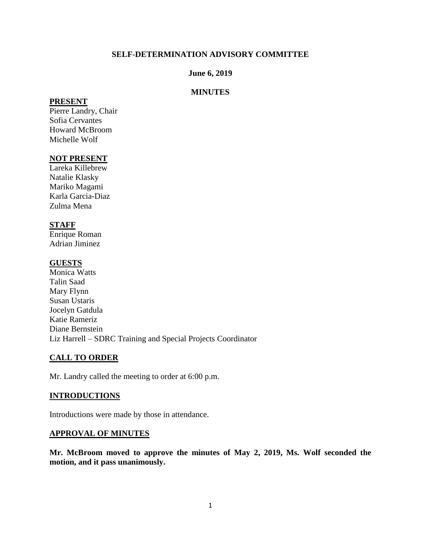# **SELF-DETERMINATION ADVISORY COMMITTEE**

# **June 6, 2019**

### **MINUTES**

#### **PRESENT**

Pierre Landry, Chair Sofia Cervantes Howard McBroom Michelle Wolf

# **NOT PRESENT**

Lareka Killebrew Natalie Klasky Mariko Magami Karla Garcia-Diaz Zulma Mena

### **STAFF**

Enrique Roman Adrian Jiminez

### **GUESTS**

Monica Watts Talin Saad Mary Flynn Susan Ustaris Jocelyn Gatdula Katie Rameriz Diane Bernstein Liz Harrell – SDRC Training and Special Projects Coordinator

### **CALL TO ORDER**

Mr. Landry called the meeting to order at 6:00 p.m.

### **INTRODUCTIONS**

Introductions were made by those in attendance.

### **APPROVAL OF MINUTES**

**Mr. McBroom moved to approve the minutes of May 2, 2019, Ms. Wolf seconded the motion, and it pass unanimously.**